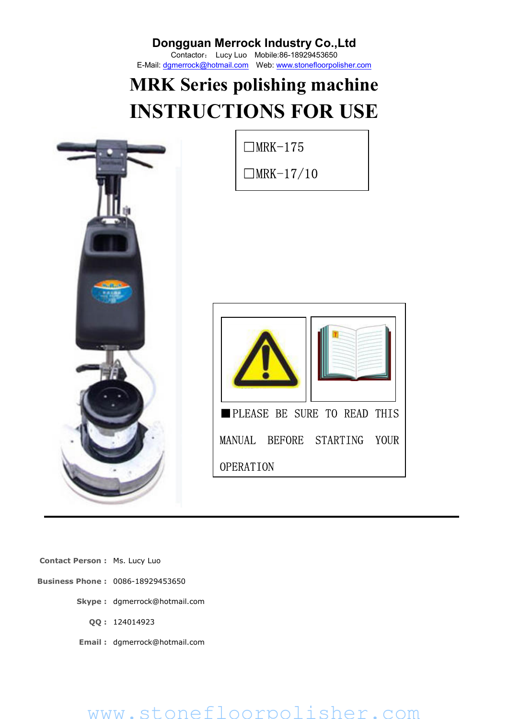Contactor: Lucy Luo Mobile:86-18929453650 E-Mail: dgmerrock@hotmail.com Web: www.stonefloorpolisher.com

# **MRK Series polishing machine INSTRUCTIONS FOR USE**



**Contact Person :** Ms. Lucy Luo

- **Business Phone :** 0086-18929453650
	- **Skype :** dgmerrock@hotmail.com
		- **QQ :** 124014923
	- **Email :** dgmerrock@hotmail.com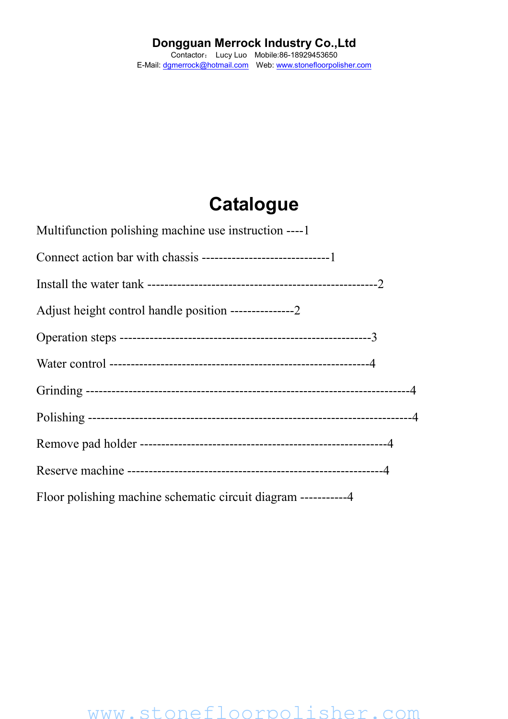## **Catalogue**

| Multifunction polishing machine use instruction ----1           |
|-----------------------------------------------------------------|
|                                                                 |
|                                                                 |
|                                                                 |
|                                                                 |
|                                                                 |
|                                                                 |
|                                                                 |
|                                                                 |
|                                                                 |
| Floor polishing machine schematic circuit diagram ------------4 |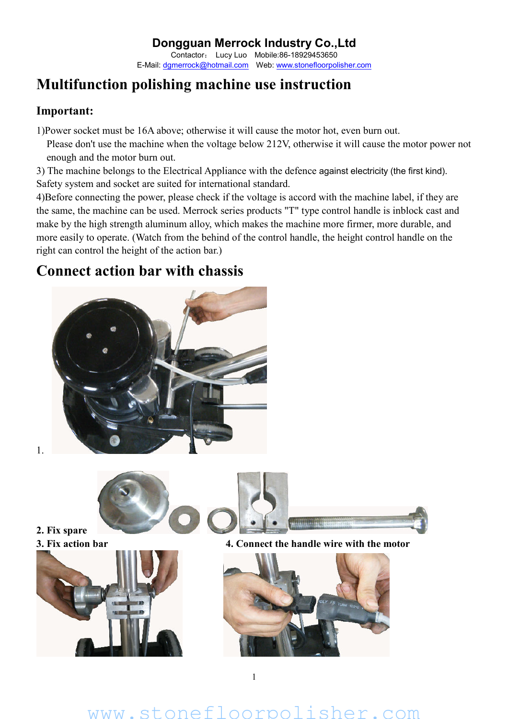#### **Dongguan Merrock Industry Co.,Ltd** Contactor: Lucy Luo Mobile:86-18929453650

E-Mail: dgmerrock@hotmail.com Web: www.stonefloorpolisher.com

### **Multifunction polishing machine use instruction**

#### **Important:**

1)Power socket must be 16A above; otherwise it will cause the motor hot, even burn out.

Please don't use the machine when the voltage below 212V, otherwise it will cause the motor power not enough and the motor burn out.

3) The machine belongs to the Electrical Appliance with the defence against electricity (the first kind). Safety system and socket are suited for international standard.

4)Before connecting the power, please check if the voltage is accord with the machine label, if they are the same, the machine can be used. Merrock series products "T" type control handle is inblock cast and make by the high strength aluminum alloy, which makes the machine more firmer, more durable, and more easily to operate. (Watch from the behind of the control handle, the height control handle on the right can control the height of the action bar.)

### **Connect action bar with chassis**



www.stonefloorpolisher.com

1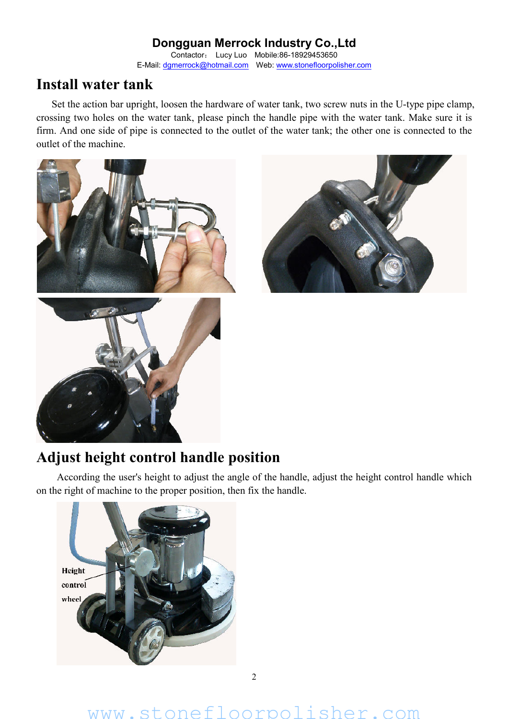Contactor: Lucy Luo Mobile:86-18929453650 E-Mail: dgmerrock@hotmail.com Web: www.stonefloorpolisher.com

### **Install water tank**

Set the action bar upright, loosen the hardware of water tank, two screw nuts in the U-type pipe clamp, crossing two holes on the water tank, please pinch the handle pipe with the water tank. Make sure it is firm. And one side of pipe is connected to the outlet of the water tank; the other one is connected to the outlet of the machine.





### **Adjust height control handle position**

According the user's height to adjust the angle of the handle, adjust the height control handle which on the right of machine to the proper position, then fix the handle.

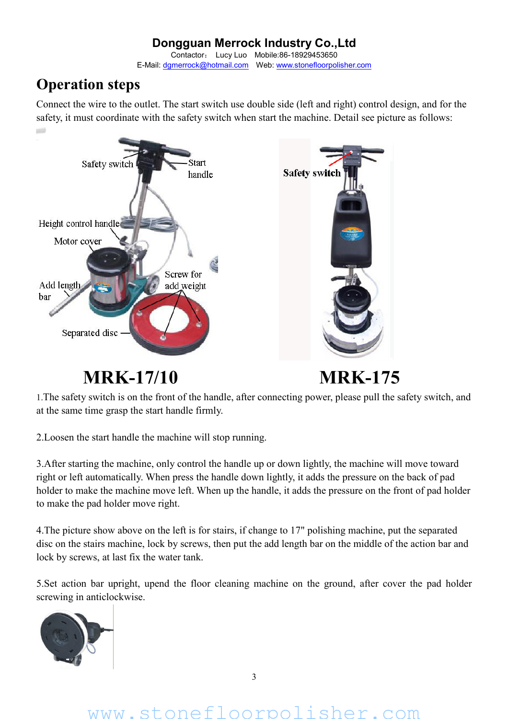Contactor: Lucy Luo Mobile:86-18929453650 E-Mail: dgmerrock@hotmail.com Web: www.stonefloorpolisher.com

### **Operation steps**

**USI** 

Connect the wire to the outlet. The start switch use double side (left and right) control design, and for the safety, it must coordinate with the safety switch when start the machine. Detail see picture as follows:



**MRK-17/10 MRK-175**

1.The safety switch is on the front of the handle, after connecting power, please pull the safety switch, and at the same time grasp the start handle firmly.

2.Loosen the start handle the machine will stop running.

3.After starting the machine, only control the handle up or down lightly, the machine will move toward right or left automatically. When press the handle down lightly, it adds the pressure on the back of pad holder to make the machine move left. When up the handle, it adds the pressure on the front of pad holder to make the pad holder move right.

4.The picture show above on the left is for stairs, if change to 17" polishing machine, put the separated disc on the stairs machine, lock by screws, then put the add length bar on the middle of the action bar and lock by screws, at last fix the water tank.

5.Set action bar upright, upend the floor cleaning machine on the ground, after cover the pad holder screwing in anticlockwise.